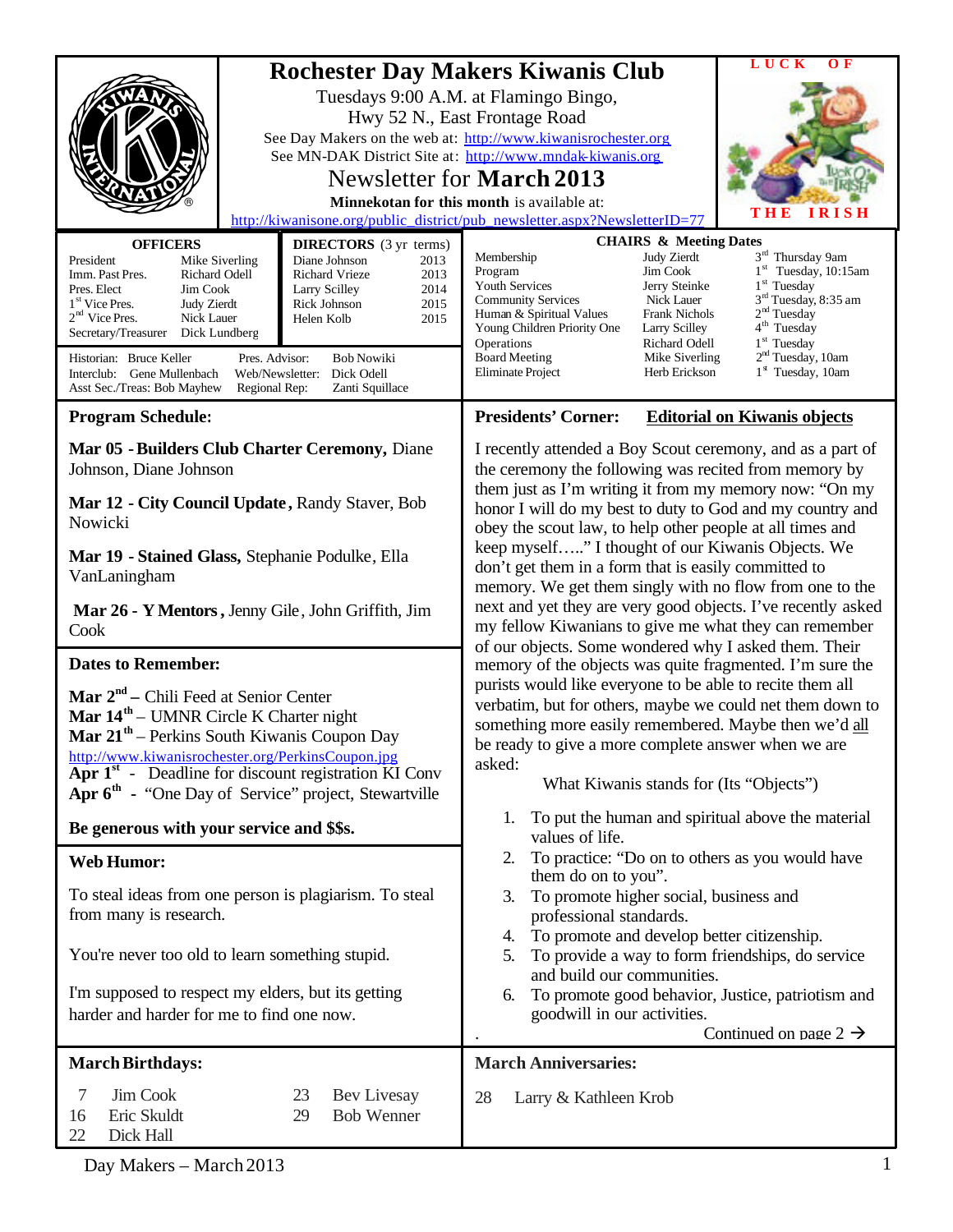|                                                                                                                                                                                                                                                                                                                                                                                                                                             |                                      |                                                                                                                                                                                                                                                                                                                                                          | LUCK<br>O <sub>F</sub>                                                                                                                                                                                                                               |  |
|---------------------------------------------------------------------------------------------------------------------------------------------------------------------------------------------------------------------------------------------------------------------------------------------------------------------------------------------------------------------------------------------------------------------------------------------|--------------------------------------|----------------------------------------------------------------------------------------------------------------------------------------------------------------------------------------------------------------------------------------------------------------------------------------------------------------------------------------------------------|------------------------------------------------------------------------------------------------------------------------------------------------------------------------------------------------------------------------------------------------------|--|
| <b>Rochester Day Makers Kiwanis Club</b><br>Tuesdays 9:00 A.M. at Flamingo Bingo,<br>Hwy 52 N., East Frontage Road<br>See Day Makers on the web at: http://www.kiwanisrochester.org<br>See MN-DAK District Site at: http://www.mndak-kiwanis.org<br>Newsletter for March 2013<br>Minnekotan for this month is available at:<br>http://kiwanisone.org/public_district/pub_newsletter.aspx?NewsletterID=77                                    |                                      |                                                                                                                                                                                                                                                                                                                                                          | <b>IRISH</b><br>THE                                                                                                                                                                                                                                  |  |
| <b>OFFICERS</b><br><b>DIRECTORS</b> (3 yr terms)                                                                                                                                                                                                                                                                                                                                                                                            |                                      | <b>CHAIRS &amp; Meeting Dates</b>                                                                                                                                                                                                                                                                                                                        |                                                                                                                                                                                                                                                      |  |
| President<br>Diane Johnson<br>Mike Siverling<br>Richard Odell<br>Richard Vrieze<br>Imm. Past Pres.<br>Pres. Elect<br>Jim Cook<br>Larry Scilley<br>1 <sup>st</sup> Vice Pres.<br><b>Judy Zierdt</b><br>Rick Johnson<br>$2nd$ Vice Pres.<br>Nick Lauer<br>Helen Kolb<br>Secretary/Treasurer<br>Dick Lundberg<br>Historian: Bruce Keller<br>Pres. Advisor:<br><b>Bob Nowiki</b><br>Dick Odell<br>Interclub: Gene Mullenbach<br>Web/Newsletter: | 2013<br>2013<br>2014<br>2015<br>2015 | Judy Zierdt<br>Membership<br>Jim Cook<br>Program<br><b>Youth Services</b><br>Jerry Steinke<br>Nick Lauer<br><b>Community Services</b><br><b>Frank Nichols</b><br>Human & Spiritual Values<br>Young Children Priority One<br>Larry Scilley<br>Richard Odell<br>Operations<br><b>Board Meeting</b><br>Mike Siverling<br>Eliminate Project<br>Herb Erickson | 3 <sup>rd</sup> Thursday 9am<br>$1st$ Tuesday, 10:15am<br>$1st$ Tuesday<br>3 <sup>rd</sup> Tuesday, 8:35 am<br>2 <sup>nd</sup> Tuesday<br>4 <sup>th</sup> Tuesday<br>1 <sup>st</sup> Tuesday<br>2 <sup>nd</sup> Tuesday, 10am<br>$1st$ Tuesday, 10am |  |
| Asst Sec./Treas: Bob Mayhew<br>Regional Rep:<br>Zanti Squillace<br><b>Program Schedule:</b>                                                                                                                                                                                                                                                                                                                                                 |                                      | <b>Presidents' Corner:</b><br><b>Editorial on Kiwanis objects</b>                                                                                                                                                                                                                                                                                        |                                                                                                                                                                                                                                                      |  |
| Mar 05 - Builders Club Charter Ceremony, Diane<br>Johnson, Diane Johnson<br>Mar 12 - City Council Update, Randy Staver, Bob                                                                                                                                                                                                                                                                                                                 |                                      | I recently attended a Boy Scout ceremony, and as a part of<br>the ceremony the following was recited from memory by<br>them just as I'm writing it from my memory now: "On my<br>honor I will do my best to duty to God and my country and                                                                                                               |                                                                                                                                                                                                                                                      |  |
| Nowicki<br>Mar 19 - Stained Glass, Stephanie Podulke, Ella<br>VanLaningham                                                                                                                                                                                                                                                                                                                                                                  |                                      | obey the scout law, to help other people at all times and<br>keep myself" I thought of our Kiwanis Objects. We<br>don't get them in a form that is easily committed to<br>memory. We get them singly with no flow from one to the                                                                                                                        |                                                                                                                                                                                                                                                      |  |
| Mar 26 - Y Mentors, Jenny Gile, John Griffith, Jim<br>Cook                                                                                                                                                                                                                                                                                                                                                                                  |                                      | next and yet they are very good objects. I've recently asked<br>my fellow Kiwanians to give me what they can remember                                                                                                                                                                                                                                    |                                                                                                                                                                                                                                                      |  |
| <b>Dates to Remember:</b>                                                                                                                                                                                                                                                                                                                                                                                                                   |                                      | of our objects. Some wondered why I asked them. Their<br>memory of the objects was quite fragmented. I'm sure the                                                                                                                                                                                                                                        |                                                                                                                                                                                                                                                      |  |
| <b>Mar</b> $2nd$ – Chili Feed at Senior Center<br>Mar $14th$ – UMNR Circle K Charter night<br>Mar 21 <sup>th</sup> – Perkins South Kiwanis Coupon Day<br>http://www.kiwanisrochester.org/PerkinsCoupon.jpg<br>Apr 1 <sup>st</sup> - Deadline for discount registration KI Conv<br>Apr $6th$ - "One Day of Service" project, Stewartville                                                                                                    |                                      | purists would like everyone to be able to recite them all<br>verbatim, but for others, maybe we could net them down to<br>something more easily remembered. Maybe then we'd all<br>be ready to give a more complete answer when we are<br>asked:<br>What Kiwanis stands for (Its "Objects")                                                              |                                                                                                                                                                                                                                                      |  |
| Be generous with your service and \$\$s.                                                                                                                                                                                                                                                                                                                                                                                                    |                                      | To put the human and spiritual above the material<br>1.<br>values of life.                                                                                                                                                                                                                                                                               |                                                                                                                                                                                                                                                      |  |
| <b>Web Humor:</b><br>To steal ideas from one person is plagiarism. To steal<br>from many is research.                                                                                                                                                                                                                                                                                                                                       |                                      | To practice: "Do on to others as you would have<br>2.<br>them do on to you".<br>To promote higher social, business and<br>3.<br>professional standards.                                                                                                                                                                                                  |                                                                                                                                                                                                                                                      |  |
| You're never too old to learn something stupid.<br>I'm supposed to respect my elders, but its getting<br>harder and harder for me to find one now.                                                                                                                                                                                                                                                                                          |                                      | To promote and develop better citizenship.<br>4.<br>To provide a way to form friendships, do service<br>5.<br>and build our communities.<br>To promote good behavior, Justice, patriotism and<br>6.<br>goodwill in our activities.<br>Continued on page $2 \rightarrow$                                                                                  |                                                                                                                                                                                                                                                      |  |
| <b>March Birthdays:</b>                                                                                                                                                                                                                                                                                                                                                                                                                     | <b>March Anniversaries:</b>          |                                                                                                                                                                                                                                                                                                                                                          |                                                                                                                                                                                                                                                      |  |
| 7<br>Jim Cook<br>23<br>Bev Livesay<br>Eric Skuldt<br><b>Bob Wenner</b><br>16<br>29<br>22<br>Dick Hall                                                                                                                                                                                                                                                                                                                                       |                                      | 28<br>Larry & Kathleen Krob                                                                                                                                                                                                                                                                                                                              |                                                                                                                                                                                                                                                      |  |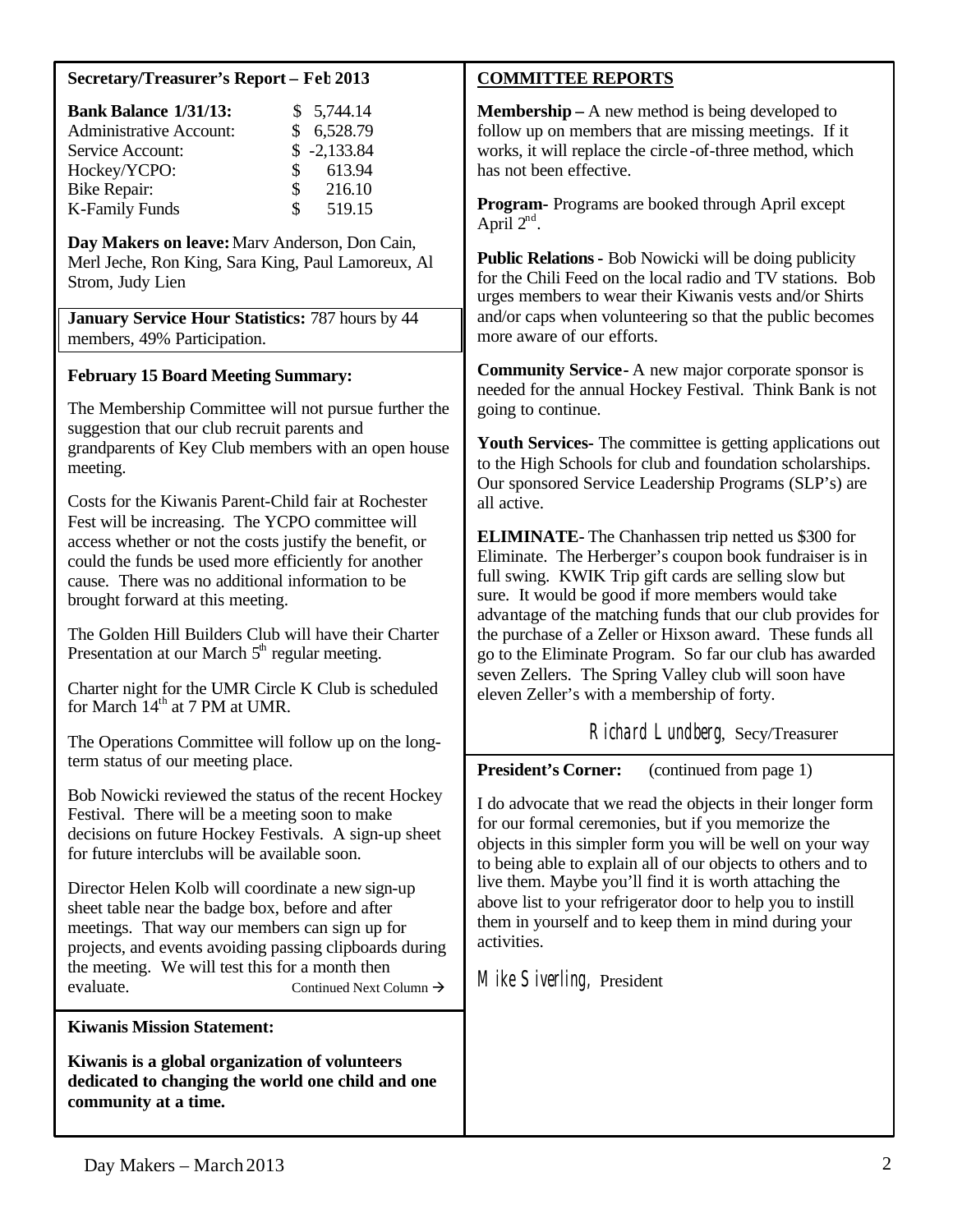### **Secretary/Treasurer's Report – Feb2013**

| <b>Bank Balance 1/31/13:</b>   |               | \$5,744.14    |
|--------------------------------|---------------|---------------|
| <b>Administrative Account:</b> |               | \$6,528.79    |
| Service Account:               |               | $$ -2,133.84$ |
| Hockey/YCPO:                   | $\mathcal{S}$ | 613.94        |
| <b>Bike Repair:</b>            | S.            | 216.10        |
| K-Family Funds                 | $\mathcal{S}$ | 519.15        |

**Day Makers on leave:**Marv Anderson, Don Cain, Merl Jeche, Ron King, Sara King, Paul Lamoreux, Al Strom, Judy Lien

**January Service Hour Statistics:** 787 hours by 44 members, 49% Participation.

# **February 15 Board Meeting Summary:**

The Membership Committee will not pursue further the suggestion that our club recruit parents and grandparents of Key Club members with an open house meeting.

Costs for the Kiwanis Parent-Child fair at Rochester Fest will be increasing. The YCPO committee will access whether or not the costs justify the benefit, or could the funds be used more efficiently for another cause. There was no additional information to be brought forward at this meeting.

The Golden Hill Builders Club will have their Charter Presentation at our March  $5<sup>th</sup>$  regular meeting.

Charter night for the UMR Circle K Club is scheduled for March 14<sup>th</sup> at 7 PM at UMR.

The Operations Committee will follow up on the longterm status of our meeting place.

Bob Nowicki reviewed the status of the recent Hockey Festival. There will be a meeting soon to make decisions on future Hockey Festivals. A sign-up sheet for future interclubs will be available soon.

Director Helen Kolb will coordinate a new sign-up sheet table near the badge box, before and after meetings. That way our members can sign up for projects, and events avoiding passing clipboards during the meeting. We will test this for a month then evaluate. Continued Next Column →

# **Kiwanis Mission Statement:**

**Kiwanis is a global organization of volunteers dedicated to changing the world one child and one community at a time.**

# **COMMITTEE REPORTS**

**Membership –** A new method is being developed to follow up on members that are missing meetings. If it works, it will replace the circle -of-three method, which has not been effective.

**Program-** Programs are booked through April except April  $2^{nd}$ .

**Public Relations-** Bob Nowicki will be doing publicity for the Chili Feed on the local radio and TV stations. Bob urges members to wear their Kiwanis vests and/or Shirts and/or caps when volunteering so that the public becomes more aware of our efforts.

**Community Service-** A new major corporate sponsor is needed for the annual Hockey Festival. Think Bank is not going to continue.

**Youth Services-** The committee is getting applications out to the High Schools for club and foundation scholarships. Our sponsored Service Leadership Programs (SLP's) are all active.

**ELIMINATE-** The Chanhassen trip netted us \$300 for Eliminate. The Herberger's coupon book fundraiser is in full swing. KWIK Trip gift cards are selling slow but sure. It would be good if more members would take advantage of the matching funds that our club provides for the purchase of a Zeller or Hixson award. These funds all go to the Eliminate Program. So far our club has awarded seven Zellers. The Spring Valley club will soon have eleven Zeller's with a membership of forty.

Richard Lundberg, Secy/Treasurer

**President's Corner:** (continued from page 1)

I do advocate that we read the objects in their longer form for our formal ceremonies, but if you memorize the objects in this simpler form you will be well on your way to being able to explain all of our objects to others and to live them. Maybe you'll find it is worth attaching the above list to your refrigerator door to help you to instill them in yourself and to keep them in mind during your activities.

Mike Siverling, President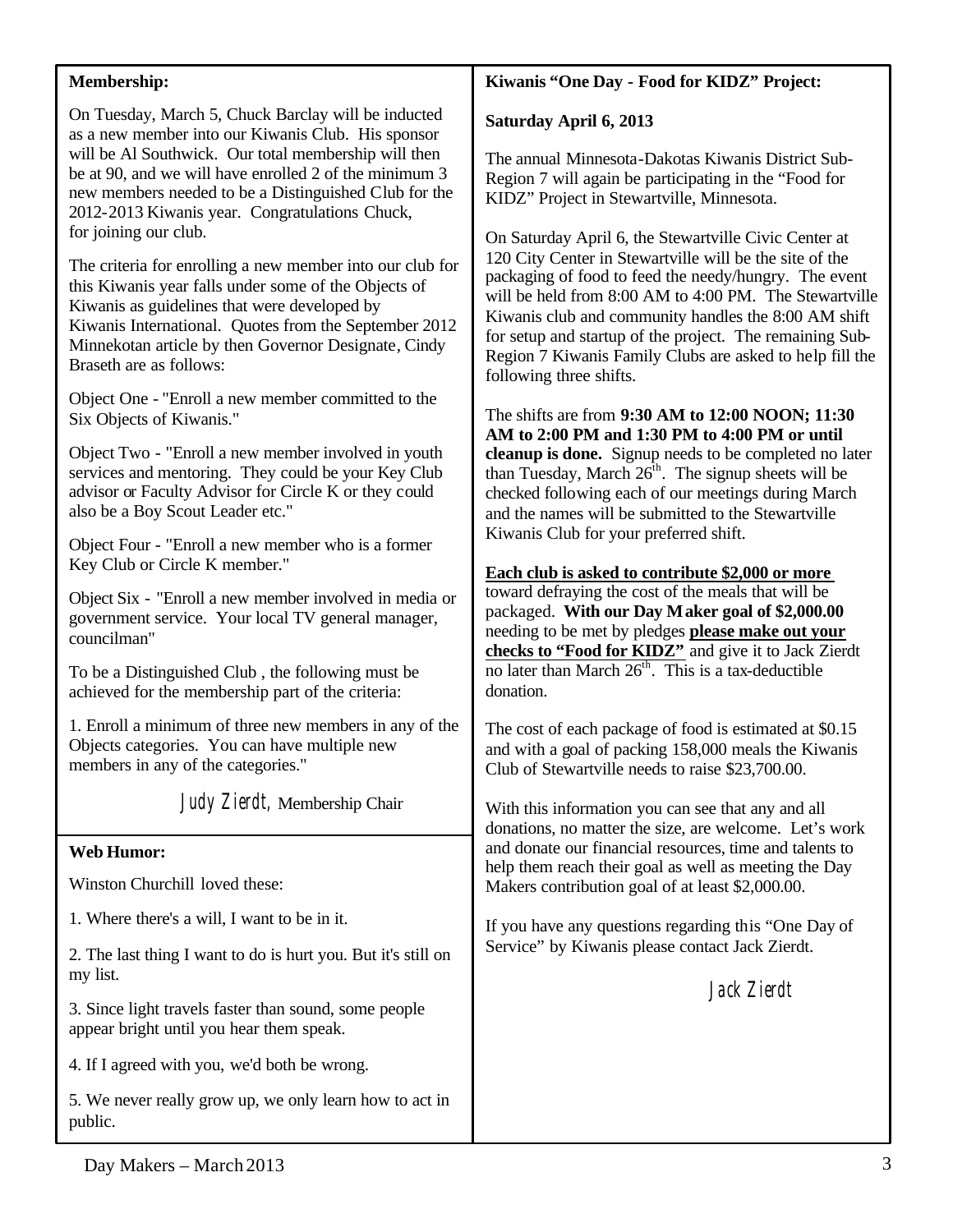| Membership:                                                                                                                                                                                                                                                                                                                            | Kiwanis "One Day - Food for KIDZ" Project:                                                                                                                                                                                                                                                                                                                                                                                                                                                                                                                                                                 |  |  |
|----------------------------------------------------------------------------------------------------------------------------------------------------------------------------------------------------------------------------------------------------------------------------------------------------------------------------------------|------------------------------------------------------------------------------------------------------------------------------------------------------------------------------------------------------------------------------------------------------------------------------------------------------------------------------------------------------------------------------------------------------------------------------------------------------------------------------------------------------------------------------------------------------------------------------------------------------------|--|--|
| On Tuesday, March 5, Chuck Barclay will be inducted<br>as a new member into our Kiwanis Club. His sponsor                                                                                                                                                                                                                              | Saturday April 6, 2013                                                                                                                                                                                                                                                                                                                                                                                                                                                                                                                                                                                     |  |  |
| will be Al Southwick. Our total membership will then<br>be at 90, and we will have enrolled 2 of the minimum 3<br>new members needed to be a Distinguished Club for the<br>2012-2013 Kiwanis year. Congratulations Chuck,                                                                                                              | The annual Minnesota-Dakotas Kiwanis District Sub-<br>Region 7 will again be participating in the "Food for<br>KIDZ" Project in Stewartville, Minnesota.<br>On Saturday April 6, the Stewartville Civic Center at<br>120 City Center in Stewartville will be the site of the<br>packaging of food to feed the needy/hungry. The event<br>will be held from 8:00 AM to 4:00 PM. The Stewartville<br>Kiwanis club and community handles the 8:00 AM shift<br>for setup and startup of the project. The remaining Sub-<br>Region 7 Kiwanis Family Clubs are asked to help fill the<br>following three shifts. |  |  |
| for joining our club.<br>The criteria for enrolling a new member into our club for<br>this Kiwanis year falls under some of the Objects of<br>Kiwanis as guidelines that were developed by<br>Kiwanis International. Quotes from the September 2012<br>Minnekotan article by then Governor Designate, Cindy<br>Braseth are as follows: |                                                                                                                                                                                                                                                                                                                                                                                                                                                                                                                                                                                                            |  |  |
| Object One - "Enroll a new member committed to the<br>Six Objects of Kiwanis."                                                                                                                                                                                                                                                         | The shifts are from 9:30 AM to 12:00 NOON; 11:30<br>AM to 2:00 PM and 1:30 PM to 4:00 PM or until<br>cleanup is done. Signup needs to be completed no later<br>than Tuesday, March 26 <sup>th</sup> . The signup sheets will be<br>checked following each of our meetings during March<br>and the names will be submitted to the Stewartville                                                                                                                                                                                                                                                              |  |  |
| Object Two - "Enroll a new member involved in youth<br>services and mentoring. They could be your Key Club<br>advisor or Faculty Advisor for Circle K or they could<br>also be a Boy Scout Leader etc."                                                                                                                                |                                                                                                                                                                                                                                                                                                                                                                                                                                                                                                                                                                                                            |  |  |
| Object Four - "Enroll a new member who is a former<br>Key Club or Circle K member."                                                                                                                                                                                                                                                    | Kiwanis Club for your preferred shift.<br>Each club is asked to contribute \$2,000 or more                                                                                                                                                                                                                                                                                                                                                                                                                                                                                                                 |  |  |
| Object Six - "Enroll a new member involved in media or<br>government service. Your local TV general manager,<br>councilman"                                                                                                                                                                                                            | toward defraying the cost of the meals that will be<br>packaged. With our Day Maker goal of \$2,000.00<br>needing to be met by pledges please make out your<br>checks to "Food for KIDZ" and give it to Jack Zierdt<br>no later than March 26 <sup>th</sup> . This is a tax-deductible<br>donation.                                                                                                                                                                                                                                                                                                        |  |  |
| To be a Distinguished Club, the following must be<br>achieved for the membership part of the criteria:                                                                                                                                                                                                                                 |                                                                                                                                                                                                                                                                                                                                                                                                                                                                                                                                                                                                            |  |  |
| 1. Enroll a minimum of three new members in any of the<br>Objects categories. You can have multiple new<br>members in any of the categories."                                                                                                                                                                                          | The cost of each package of food is estimated at \$0.15<br>and with a goal of packing 158,000 meals the Kiwanis<br>Club of Stewartville needs to raise \$23,700.00.                                                                                                                                                                                                                                                                                                                                                                                                                                        |  |  |
| Judy Zierdt, Membership Chair                                                                                                                                                                                                                                                                                                          | With this information you can see that any and all<br>donations, no matter the size, are welcome. Let's work                                                                                                                                                                                                                                                                                                                                                                                                                                                                                               |  |  |
| <b>Web Humor:</b>                                                                                                                                                                                                                                                                                                                      | and donate our financial resources, time and talents to                                                                                                                                                                                                                                                                                                                                                                                                                                                                                                                                                    |  |  |
| Winston Churchill loved these:                                                                                                                                                                                                                                                                                                         | help them reach their goal as well as meeting the Day<br>Makers contribution goal of at least \$2,000.00.                                                                                                                                                                                                                                                                                                                                                                                                                                                                                                  |  |  |
| 1. Where there's a will, I want to be in it.                                                                                                                                                                                                                                                                                           | If you have any questions regarding this "One Day of<br>Service" by Kiwanis please contact Jack Zierdt.<br>Jack Zierdt                                                                                                                                                                                                                                                                                                                                                                                                                                                                                     |  |  |
| 2. The last thing I want to do is hurt you. But it's still on<br>my list.                                                                                                                                                                                                                                                              |                                                                                                                                                                                                                                                                                                                                                                                                                                                                                                                                                                                                            |  |  |
| 3. Since light travels faster than sound, some people<br>appear bright until you hear them speak.                                                                                                                                                                                                                                      |                                                                                                                                                                                                                                                                                                                                                                                                                                                                                                                                                                                                            |  |  |
| 4. If I agreed with you, we'd both be wrong.                                                                                                                                                                                                                                                                                           |                                                                                                                                                                                                                                                                                                                                                                                                                                                                                                                                                                                                            |  |  |
| 5. We never really grow up, we only learn how to act in<br>public.                                                                                                                                                                                                                                                                     |                                                                                                                                                                                                                                                                                                                                                                                                                                                                                                                                                                                                            |  |  |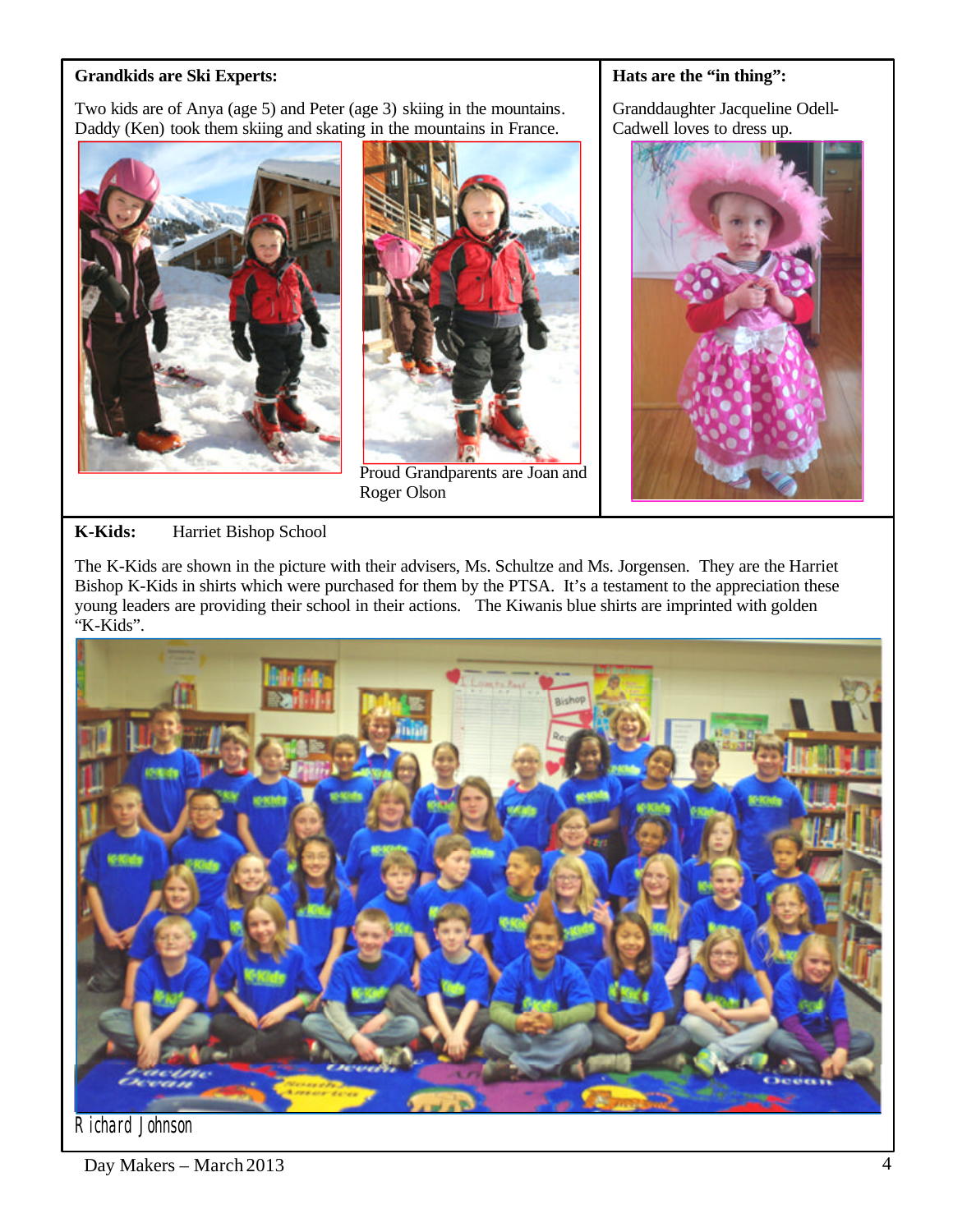### **Grandkids are Ski Experts:**

Two kids are of Anya (age 5) and Peter (age 3) skiing in the mountains. Daddy (Ken) took them skiing and skating in the mountains in France.





Proud Grandparents are Joan and Roger Olson

#### **Hats are the "in thing":**

Granddaughter Jacqueline Odell-Cadwell loves to dress up.



# **K-Kids:** Harriet Bishop School

The K-Kids are shown in the picture with their advisers, Ms. Schultze and Ms. Jorgensen. They are the Harriet Bishop K-Kids in shirts which were purchased for them by the PTSA. It's a testament to the appreciation these young leaders are providing their school in their actions. The Kiwanis blue shirts are imprinted with golden "K-Kids".



Richard Johnson

Day Makers – March 2013 4